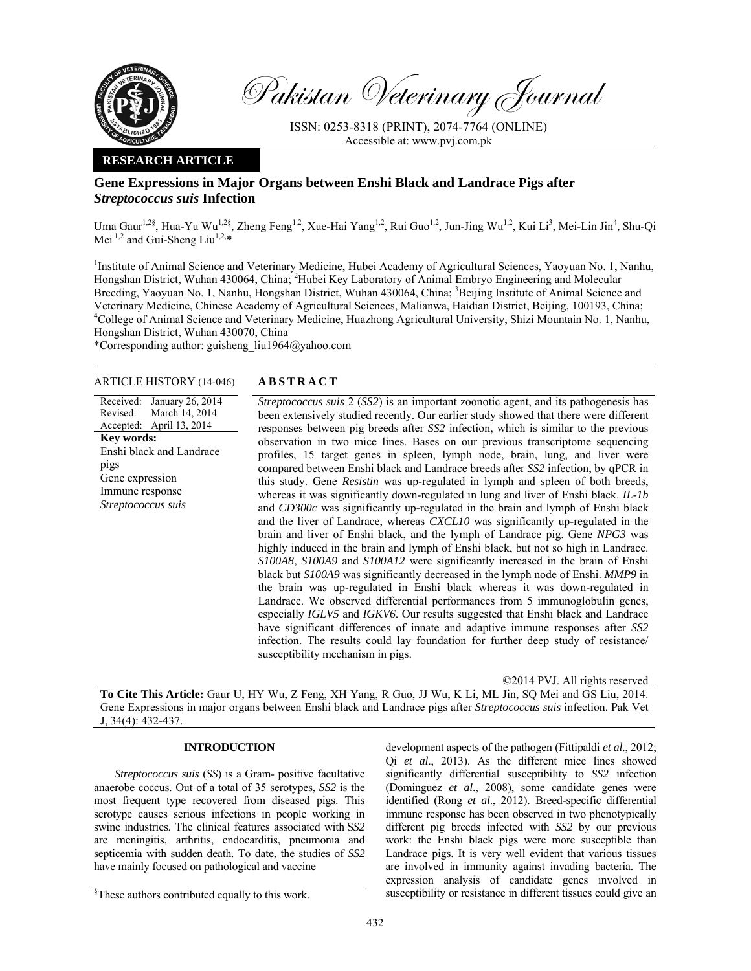

Pakistan Veterinary Journal

ISSN: 0253-8318 (PRINT), 2074-7764 (ONLINE) Accessible at: www.pvj.com.pk

## **RESEARCH ARTICLE**

# **Gene Expressions in Major Organs between Enshi Black and Landrace Pigs after**  *Streptococcus suis* **Infection**

Uma Gaur<sup>1,2§</sup>, Hua-Yu Wu<sup>1,2§</sup>, Zheng Feng<sup>1,2</sup>, Xue-Hai Yang<sup>1,2</sup>, Rui Guo<sup>1,2</sup>, Jun-Jing Wu<sup>1,2</sup>, Kui Li<sup>3</sup>, Mei-Lin Jin<sup>4</sup>, Shu-Qi Mei  $^{1,2}$  and Gui-Sheng Liu<sup>1,2,\*</sup>

<sup>1</sup>Institute of Animal Science and Veterinary Medicine, Hubei Academy of Agricultural Sciences, Yaoyuan No. 1, Nanhu, Hongshan District, Wuhan 430064, China; <sup>2</sup>Hubei Key Laboratory of Animal Embryo Engineering and Molecular Breeding, Yaoyuan No. 1, Nanhu, Hongshan District, Wuhan 430064, China; <sup>3</sup>Beijing Institute of Animal Science and Veterinary Medicine, Chinese Academy of Agricultural Sciences, Malianwa, Haidian District, Beijing, 100193, China; 4 College of Animal Science and Veterinary Medicine, Huazhong Agricultural University, Shizi Mountain No. 1, Nanhu, Hongshan District, Wuhan 430070, China

\*Corresponding author: guisheng\_liu1964@yahoo.com

### ARTICLE HISTORY (14-046) **ABSTRACT**

Received: Revised: Accepted: January 26, 2014 March 14, 2014 April 13, 2014 **Key words:**  Enshi black and Landrace pigs Gene expression Immune response *Streptococcus suis*

*Streptococcus suis* 2 (*SS2*) is an important zoonotic agent, and its pathogenesis has been extensively studied recently. Our earlier study showed that there were different responses between pig breeds after *SS2* infection, which is similar to the previous observation in two mice lines. Bases on our previous transcriptome sequencing profiles, 15 target genes in spleen, lymph node, brain, lung, and liver were compared between Enshi black and Landrace breeds after *SS2* infection, by qPCR in this study. Gene *Resistin* was up-regulated in lymph and spleen of both breeds, whereas it was significantly down-regulated in lung and liver of Enshi black. *IL-1b* and *CD300c* was significantly up-regulated in the brain and lymph of Enshi black and the liver of Landrace, whereas *CXCL10* was significantly up-regulated in the brain and liver of Enshi black, and the lymph of Landrace pig. Gene *NPG3* was highly induced in the brain and lymph of Enshi black, but not so high in Landrace. *S100A8*, *S100A9* and *S100A12* were significantly increased in the brain of Enshi black but *S100A9* was significantly decreased in the lymph node of Enshi. *MMP9* in the brain was up-regulated in Enshi black whereas it was down-regulated in Landrace. We observed differential performances from 5 immunoglobulin genes, especially *IGLV5* and *IGKV6*. Our results suggested that Enshi black and Landrace have significant differences of innate and adaptive immune responses after *SS2* infection. The results could lay foundation for further deep study of resistance/ susceptibility mechanism in pigs.

©2014 PVJ. All rights reserved

**To Cite This Article:** Gaur U, HY Wu, Z Feng, XH Yang, R Guo, JJ Wu, K Li, ML Jin, SQ Mei and GS Liu, 2014. Gene Expressions in major organs between Enshi black and Landrace pigs after *Streptococcus suis* infection. Pak Vet J, 34(4): 432-437.

## **INTRODUCTION**

*Streptococcus suis* (*SS*) is a Gram- positive facultative anaerobe coccus. Out of a total of 35 serotypes, *SS2* is the most frequent type recovered from diseased pigs. This serotype causes serious infections in people working in swine industries. The clinical features associated with S*S2* are meningitis, arthritis, endocarditis, pneumonia and septicemia with sudden death. To date, the studies of *SS2* have mainly focused on pathological and vaccine

development aspects of the pathogen (Fittipaldi *et al*., 2012; Qi *et al*., 2013). As the different mice lines showed significantly differential susceptibility to *SS2* infection (Dominguez *et al*., 2008), some candidate genes were identified (Rong *et al*., 2012). Breed-specific differential immune response has been observed in two phenotypically different pig breeds infected with *SS2* by our previous work: the Enshi black pigs were more susceptible than Landrace pigs. It is very well evident that various tissues are involved in immunity against invading bacteria. The expression analysis of candidate genes involved in susceptibility or resistance in different tissues could give an

<sup>§</sup> These authors contributed equally to this work.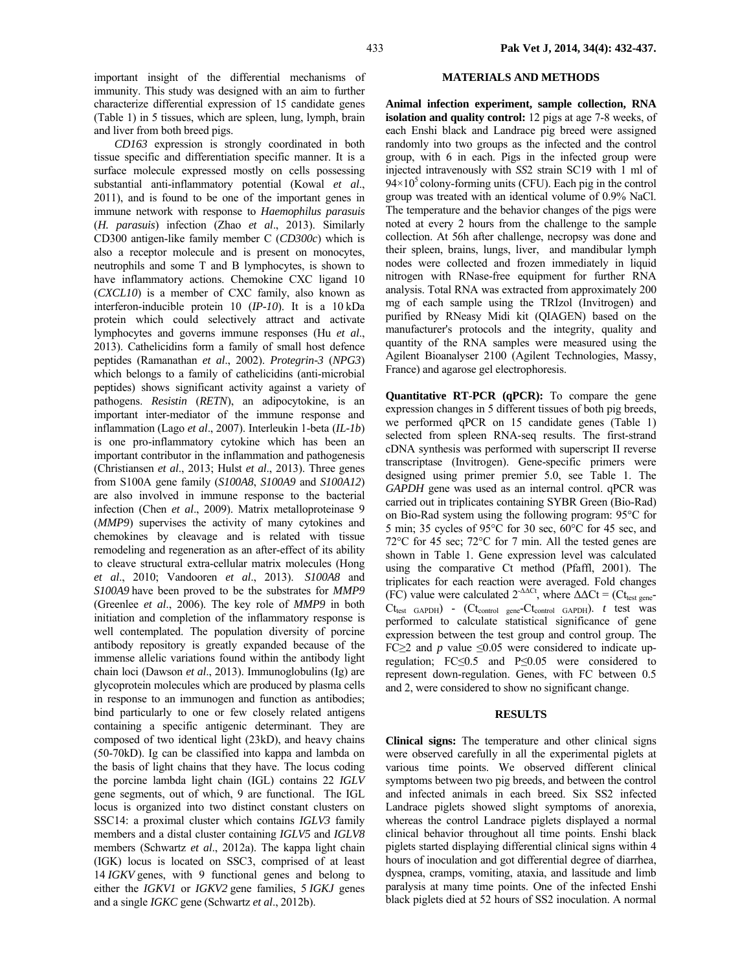important insight of the differential mechanisms of immunity. This study was designed with an aim to further characterize differential expression of 15 candidate genes (Table 1) in 5 tissues, which are spleen, lung, lymph, brain and liver from both breed pigs.

*CD163* expression is strongly coordinated in both tissue specific and differentiation specific manner. It is a surface molecule expressed mostly on cells possessing substantial anti-inflammatory potential (Kowal *et al*., 2011), and is found to be one of the important genes in immune network with response to *Haemophilus parasuis* (*H. parasuis*) infection (Zhao *et al*., 2013). Similarly CD300 antigen-like family member C (*CD300c*) which is also a receptor molecule and is present on monocytes, neutrophils and some T and B lymphocytes, is shown to have inflammatory actions. Chemokine CXC ligand 10 (*CXCL10*) is a member of CXC family, also known as interferon-inducible protein 10 (*IP-10*). It is a 10 kDa protein which could selectively attract and activate lymphocytes and governs immune responses (Hu *et al*., 2013). Cathelicidins form a family of small host defence peptides (Ramanathan *et al*., 2002). *Protegrin-3* (*NPG3*) which belongs to a family of cathelicidins (anti-microbial peptides) shows significant activity against a variety of pathogens. *Resistin* (*RETN*), an adipocytokine, is an important inter-mediator of the immune response and inflammation (Lago *et al*., 2007). Interleukin 1-beta (*IL-1b*) is one pro-inflammatory cytokine which has been an important contributor in the inflammation and pathogenesis (Christiansen *et al*., 2013; Hulst *et al*., 2013). Three genes from S100A gene family (*S100A8*, *S100A9* and *S100A12*) are also involved in immune response to the bacterial infection (Chen *et al*., 2009). Matrix metalloproteinase 9 (*MMP9*) supervises the activity of many cytokines and chemokines by cleavage and is related with tissue remodeling and regeneration as an after-effect of its ability to cleave structural extra-cellular matrix molecules (Hong *et al*., 2010; Vandooren *et al*., 2013). *S100A8* and *S100A9* have been proved to be the substrates for *MMP9* (Greenlee *et al*., 2006). The key role of *MMP9* in both initiation and completion of the inflammatory response is well contemplated. The population diversity of porcine antibody repository is greatly expanded because of the immense allelic variations found within the antibody light chain loci (Dawson *et al*., 2013). Immunoglobulins (Ig) are glycoprotein molecules which are produced by plasma cells in response to an immunogen and function as antibodies; bind particularly to one or few closely related antigens containing a specific antigenic determinant. They are composed of two identical light (23kD), and heavy chains (50-70kD). Ig can be classified into kappa and lambda on the basis of light chains that they have. The locus coding the porcine lambda light chain (IGL) contains 22 *IGLV* gene segments, out of which, 9 are functional. The IGL locus is organized into two distinct constant clusters on SSC14: a proximal cluster which contains *IGLV3* family members and a distal cluster containing *IGLV5* and *IGLV8* members (Schwartz *et al*., 2012a). The kappa light chain (IGK) locus is located on SSC3, comprised of at least 14 *IGKV* genes, with 9 functional genes and belong to either the *IGKV1* or *IGKV2* gene families, 5 *IGKJ* genes and a single *IGKC* gene (Schwartz *et al*., 2012b).

### **MATERIALS AND METHODS**

**Animal infection experiment, sample collection, RNA isolation and quality control:** 12 pigs at age 7-8 weeks, of each Enshi black and Landrace pig breed were assigned randomly into two groups as the infected and the control group, with 6 in each. Pigs in the infected group were injected intravenously with *SS*2 strain SC19 with 1 ml of  $94\times10^5$  colony-forming units (CFU). Each pig in the control group was treated with an identical volume of 0.9% NaCl. The temperature and the behavior changes of the pigs were noted at every 2 hours from the challenge to the sample collection. At 56h after challenge, necropsy was done and their spleen, brains, lungs, liver, and mandibular lymph nodes were collected and frozen immediately in liquid nitrogen with RNase-free equipment for further RNA analysis. Total RNA was extracted from approximately 200 mg of each sample using the TRIzol (Invitrogen) and purified by RNeasy Midi kit (QIAGEN) based on the manufacturer's protocols and the integrity, quality and quantity of the RNA samples were measured using the Agilent Bioanalyser 2100 (Agilent Technologies, Massy, France) and agarose gel electrophoresis.

**Quantitative RT-PCR (qPCR):** To compare the gene expression changes in 5 different tissues of both pig breeds, we performed qPCR on 15 candidate genes (Table 1) selected from spleen RNA-seq results. The first-strand cDNA synthesis was performed with superscript II reverse transcriptase (Invitrogen). Gene-specific primers were designed using primer premier 5.0, see Table 1. The *GAPDH* gene was used as an internal control. qPCR was carried out in triplicates containing SYBR Green (Bio-Rad) on Bio-Rad system using the following program: 95°C for 5 min; 35 cycles of 95°C for 30 sec, 60°C for 45 sec, and 72°C for 45 sec; 72°C for 7 min. All the tested genes are shown in Table 1. Gene expression level was calculated using the comparative Ct method (Pfaffl, 2001). The triplicates for each reaction were averaged. Fold changes (FC) value were calculated  $2^{-\Delta\Delta Ct}$ , where  $\Delta\Delta Ct = (Ct_{test\,gene}$ -Ct<sub>test GAPDH</sub>) - (Ct<sub>control gene</sub>-Ct<sub>control GAPDH</sub>). *t* test was performed to calculate statistical significance of gene expression between the test group and control group. The FC $\geq$ 2 and *p* value  $\leq$ 0.05 were considered to indicate upregulation; FC≤0.5 and P≤0.05 were considered to represent down-regulation. Genes, with FC between 0.5 and 2, were considered to show no significant change.

#### **RESULTS**

**Clinical signs:** The temperature and other clinical signs were observed carefully in all the experimental piglets at various time points. We observed different clinical symptoms between two pig breeds, and between the control and infected animals in each breed. Six SS2 infected Landrace piglets showed slight symptoms of anorexia, whereas the control Landrace piglets displayed a normal clinical behavior throughout all time points. Enshi black piglets started displaying differential clinical signs within 4 hours of inoculation and got differential degree of diarrhea, dyspnea, cramps, vomiting, ataxia, and lassitude and limb paralysis at many time points. One of the infected Enshi black piglets died at 52 hours of SS2 inoculation. A normal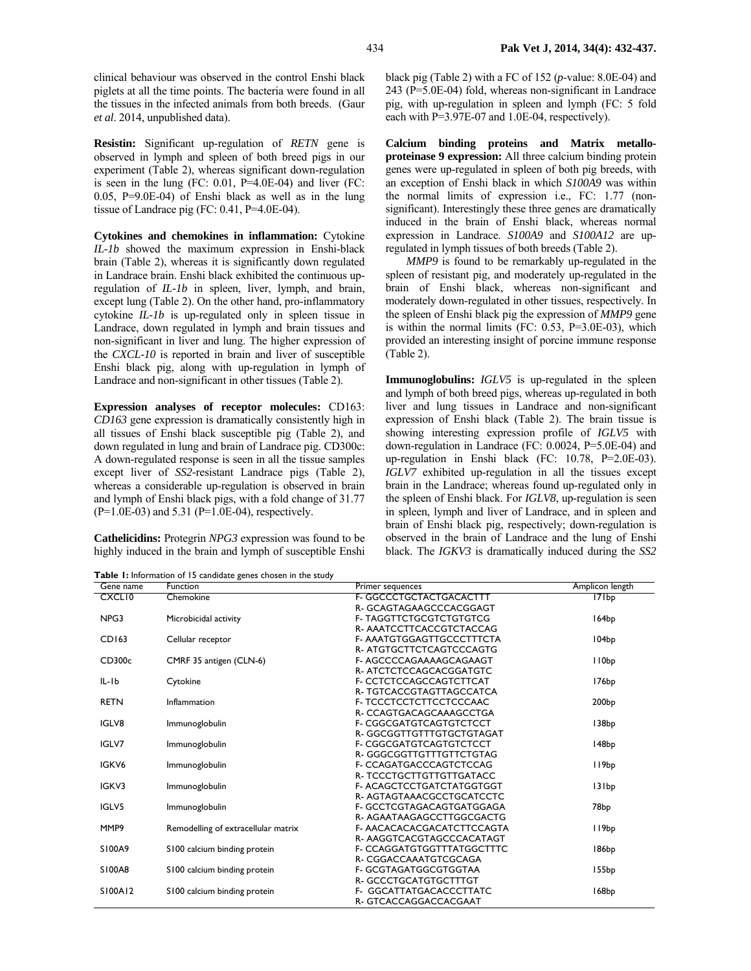clinical behaviour was observed in the control Enshi black piglets at all the time points. The bacteria were found in all the tissues in the infected animals from both breeds. (Gaur *et al*. 2014, unpublished data).

**Resistin:** Significant up-regulation of *RETN* gene is observed in lymph and spleen of both breed pigs in our experiment (Table 2), whereas significant down-regulation is seen in the lung (FC:  $0.01$ , P=4.0E-04) and liver (FC: 0.05, P=9.0E-04) of Enshi black as well as in the lung tissue of Landrace pig (FC: 0.41, P=4.0E-04).

**Cytokines and chemokines in inflammation:** Cytokine *IL-1b* showed the maximum expression in Enshi-black brain (Table 2), whereas it is significantly down regulated in Landrace brain. Enshi black exhibited the continuous upregulation of *IL-1b* in spleen, liver, lymph, and brain, except lung (Table 2). On the other hand, pro-inflammatory cytokine *IL-1b* is up-regulated only in spleen tissue in Landrace, down regulated in lymph and brain tissues and non-significant in liver and lung. The higher expression of the *CXCL-10* is reported in brain and liver of susceptible Enshi black pig, along with up-regulation in lymph of Landrace and non-significant in other tissues (Table 2).

**Expression analyses of receptor molecules:** CD163: *CD163* gene expression is dramatically consistently high in all tissues of Enshi black susceptible pig (Table 2), and down regulated in lung and brain of Landrace pig. CD300c: A down-regulated response is seen in all the tissue samples except liver of *SS2-*resistant Landrace pigs (Table 2), whereas a considerable up-regulation is observed in brain and lymph of Enshi black pigs, with a fold change of 31.77  $(P=1.0E-03)$  and 5.31 (P=1.0E-04), respectively.

**Cathelicidins:** Protegrin *NPG3* expression was found to be highly induced in the brain and lymph of susceptible Enshi

**Table 1:** Information of 15 candidate genes chosen in the study

black pig (Table 2) with a FC of 152 (*p*-value: 8.0E-04) and 243 (P=5.0E-04) fold, whereas non-significant in Landrace pig, with up-regulation in spleen and lymph (FC: 5 fold each with P=3.97E-07 and 1.0E-04, respectively).

**Calcium binding proteins and Matrix metalloproteinase 9 expression:** All three calcium binding protein genes were up-regulated in spleen of both pig breeds, with an exception of Enshi black in which *S100A9* was within the normal limits of expression i.e., FC: 1.77 (nonsignificant). Interestingly these three genes are dramatically induced in the brain of Enshi black, whereas normal expression in Landrace. *S100A9* and *S100A12* are upregulated in lymph tissues of both breeds (Table 2).

*MMP9* is found to be remarkably up-regulated in the spleen of resistant pig, and moderately up-regulated in the brain of Enshi black, whereas non-significant and moderately down-regulated in other tissues, respectively. In the spleen of Enshi black pig the expression of *MMP9* gene is within the normal limits (FC:  $0.53$ ,  $P=3.0E-03$ ), which provided an interesting insight of porcine immune response (Table 2).

**Immunoglobulins:** *IGLV5* is up-regulated in the spleen and lymph of both breed pigs, whereas up-regulated in both liver and lung tissues in Landrace and non-significant expression of Enshi black (Table 2). The brain tissue is showing interesting expression profile of *IGLV5* with down-regulation in Landrace (FC: 0.0024, P=5.0E-04) and up-regulation in Enshi black (FC: 10.78, P=2.0E-03). *IGLV7* exhibited up-regulation in all the tissues except brain in the Landrace; whereas found up-regulated only in the spleen of Enshi black. For *IGLV8*, up-regulation is seen in spleen, lymph and liver of Landrace, and in spleen and brain of Enshi black pig, respectively; down-regulation is observed in the brain of Landrace and the lung of Enshi black. The *IGKV3* is dramatically induced during the *SS2*

| Gene name     | Function                            | Primer sequences                  | Amplicon length   |
|---------------|-------------------------------------|-----------------------------------|-------------------|
| <b>CXCLIO</b> | Chemokine                           | F- GGCCCTGCTACTGACACTTT           | 171bp             |
|               |                                     | R- GCAGTAGAAGCCCACGGAGT           |                   |
| NPG3          | Microbicidal activity               | <b>F- TAGGTTCTGCGTCTGTGTCG</b>    | 164bp             |
|               |                                     | R- AAATCCTTCACCGTCTACCAG          |                   |
| CD163         | Cellular receptor                   | F-AAATGTGGAGTTGCCCTTTCTA          | 104bp             |
|               |                                     | R-ATGTGCTTCTCAGTCCCAGTG           |                   |
| CD300c        | CMRF 35 antigen (CLN-6)             | F-AGCCCCAGAAAAGCAGAAGT            | I IObp            |
|               |                                     | R- ATCTCTCCAGCACGGATGTC           |                   |
| $IL-Ib$       | Cytokine                            | <b>F- CCTCTCCAGCCAGTCTTCAT</b>    | 176bp             |
|               |                                     | R- TGTCACCGTAGTTAGCCATCA          |                   |
| <b>RETN</b>   | Inflammation                        | F- TCCCTCCTCTTCCTCCCAAC           | 200bp             |
|               |                                     | R- CCAGTGACAGCAAAGCCTGA           |                   |
| IGLV8         | Immunoglobulin                      | <b>F- CGGCGATGTCAGTGTCTCCT</b>    | 138bp             |
|               |                                     | R-GGCGGTTGTTTGTGCTGTAGAT          |                   |
| IGLV7         | Immunoglobulin                      | F- CGGCGATGTCAGTGTCTCCT           | 148bp             |
|               |                                     | R-GGGCGGTTGTTTGTTCTGTAG           |                   |
| IGKV6         | Immunoglobulin                      | F- CCAGATGACCCAGTCTCCAG           | II9bp             |
|               |                                     | R- TCCCTGCTTGTTGTTGATACC          |                   |
| IGKV3         | Immunoglobulin                      | <b>F-ACAGCTCCTGATCTATGGTGGT</b>   | 131bp             |
|               |                                     | R-AGTAGTAAACGCCTGCATCCTC          |                   |
| IGLV5         | Immunoglobulin                      | F- GCCTCGTAGACAGTGATGGAGA         | 78 <sub>bp</sub>  |
|               |                                     | R-AGAATAAGAGCCTTGGCGACTG          |                   |
| MMP9          | Remodelling of extracellular matrix | F-AACACACACGACATCTTCCAGTA         | 119bp             |
|               |                                     | R-AAGGTCACGTAGCCCACATAGT          |                   |
| S100A9        | S100 calcium binding protein        | <b>F- CCAGGATGTGGTTTATGGCTTTC</b> | 186 <sub>bp</sub> |
|               |                                     | R- CGGACCAAATGTCGCAGA             |                   |
| S100A8        | S100 calcium binding protein        | F- GCGTAGATGGCGTGGTAA             | I55bp             |
|               |                                     | R-GCCCTGCATGTGCTTTGT              |                   |
| S100A12       | \$100 calcium binding protein       | <b>F- GGCATTATGACACCCTTATC</b>    | 168bp             |
|               |                                     | R- GTCACCAGGACCACGAAT             |                   |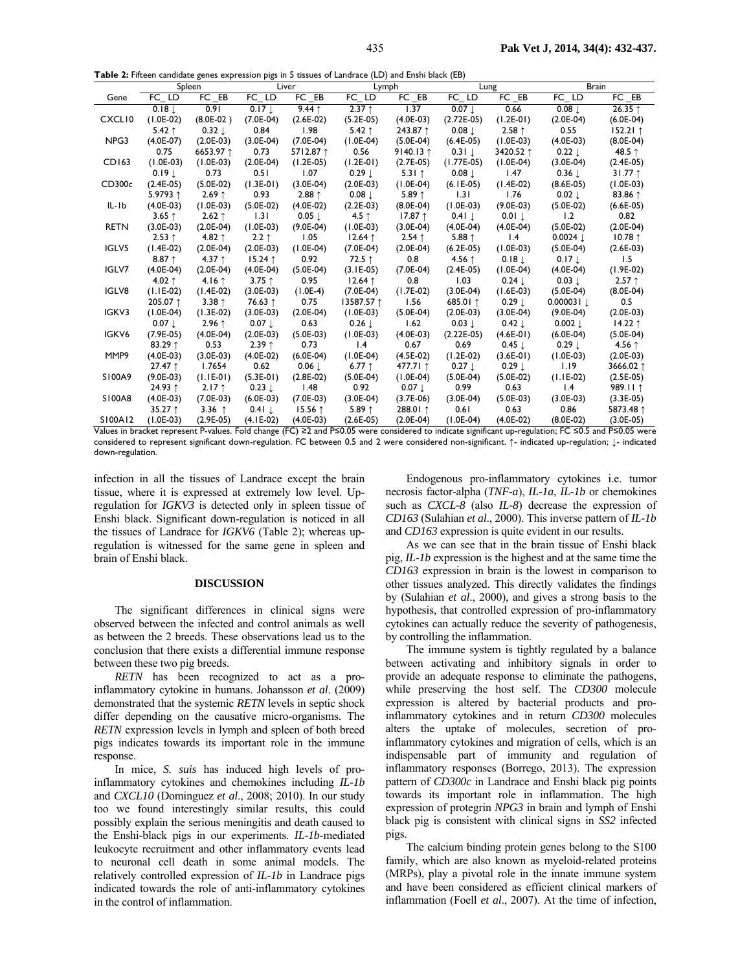**Table 2:** Fifteen candidate genes expression pigs in 5 tissues of Landrace (LD) and Enshi black (EB)

| <b>rable 2.</b> These candidate genes expression pigs in 5 ussues or Landrace (LD) and Liisin black (LD) |                   |                 |                     |                   |                   |                 |                   |                   |                       |                     |  |
|----------------------------------------------------------------------------------------------------------|-------------------|-----------------|---------------------|-------------------|-------------------|-----------------|-------------------|-------------------|-----------------------|---------------------|--|
|                                                                                                          |                   | Spleen          | Liver               |                   | Lymph             |                 | Lung              |                   | <b>Brain</b>          |                     |  |
| Gene                                                                                                     | $FC$ $LD$         | $FC$ $EB$       | $FC$ $LD$           | FC EB             | FC LD             | $FC$ $EB$       | $FC$ $LD$         | FC EB             | $FC$ $LD$             | FC EB               |  |
|                                                                                                          | 0.18              | 0.91            | $0.17$ $\downarrow$ | $9.44$ 1          | $2.37$ ↑          | 1.37            | $0.07 \downarrow$ | 0.66              | 0.08                  | 26.35 ↑             |  |
| CXCLI0                                                                                                   | $(1.0E-02)$       | $(8.0E-02)$     | $(7.0E-04)$         | $(2.6E-02)$       | $(5.2E-05)$       | $(4.0E-03)$     | $(2.72E-05)$      | $(1.2E-01)$       | $(2.0E-04)$           | $(6.0E-04)$         |  |
|                                                                                                          | 5.42 $\uparrow$   | $0.32 \perp$    | 0.84                | 1.98              | $5.42$ ↑          | 243.87 1        | $0.08 \downarrow$ | $2.58$ ↑          | 0.55                  | $152.21$ 1          |  |
| NPG3                                                                                                     | $(4.0E-07)$       | $(2.0E-03)$     | $(3.0E-04)$         | $(7.0E-04)$       | $(1.0E-04)$       | $(5.0E-04)$     | $(6.4E-05)$       | $(1.0E-03)$       | $(4.0E-03)$           | $(8.0E-04)$         |  |
|                                                                                                          | 0.75              | 6653.97 ↑       | 0.73                | 5712.87 1         | 0.56              | 9140.13 1       | $0.31 \perp$      | 3420.52 ↑         | $0.22 \perp$          | 48.5 ↑              |  |
| CD163                                                                                                    | $(1.0E-03)$       | $(1.0E-03)$     | $(2.0E-04)$         | $(1.2E-05)$       | $(1.2E-01)$       | $(2.7E-05)$     | $(1.77E-05)$      | $(1.0E-04)$       | $(3.0E-04)$           | $(2.4E-05)$         |  |
|                                                                                                          | $0.19 \perp$      | 0.73            | 0.51                | 1.07              | $0.29 \downarrow$ | 5.31 $\uparrow$ | $0.08 \downarrow$ | 1.47              | $0.36 \downarrow$     | $31.77$ ↑           |  |
| CD300c                                                                                                   | $(2.4E-05)$       | $(5.0E-02)$     | $(1.3E-01)$         | $(3.0E-04)$       | $(2.0E-03)$       | $(1.0E-04)$     | $(6.1E-05)$       | $(1.4E-02)$       | $(8.6E-05)$           | $(1.0E-03)$         |  |
|                                                                                                          | 5.9793 1          | $2.69$ ↑        | 0.93                | $2.88$ ↑          | $0.08 \downarrow$ | $5.89$ ↑        | 1.31              | 1.76              | $0.02 \perp$          | 83.86 ↑             |  |
| IL-Ib                                                                                                    | $(4.0E-03)$       | $(1.0E-03)$     | $(5.0E-02)$         | $(4.0E-02)$       | $(2.2E-03)$       | $(8.0E-04)$     | $(1.0E-03)$       | $(9.0E-03)$       | $(5.0E-02)$           | $(6.6E-05)$         |  |
|                                                                                                          | 3.65 $1$          | $2.62$ ↑        | 1.31                | $0.05 \downarrow$ | 4.5 $\uparrow$    | $17.87$ ↑       | $0.41 \perp$      | $0.01 \perp$      | 1.2                   | 0.82                |  |
| <b>RETN</b>                                                                                              | $(3.0E-03)$       | $(2.0E-04)$     | $(1.0E-03)$         | $(9.0E-04)$       | $(1.0E-03)$       | $(3.0E-04)$     | $(4.0E-04)$       | $(4.0E-04)$       | $(5.0E-02)$           | $(2.0E-04)$         |  |
|                                                                                                          | $2.53$ ↑          | 4.82 $\uparrow$ | $2.2$ ↑             | 1.05              | $12.64$ ↑         | $2.54$ ↑        | 5.88 $†$          | 1.4               | $0.0024$ $\downarrow$ | $10.78$ ↑           |  |
| IGLV5                                                                                                    | $(1.4E-02)$       | $(2.0E-04)$     | $(2.0E-03)$         | $(1.0E-04)$       | $(7.0E-04)$       | $(2.0E-04)$     | $(6.2E-05)$       | $(1.0E-03)$       | $(5.0E-04)$           | $(2.6E-03)$         |  |
|                                                                                                          | 8.87 $\uparrow$   | 4.37 $\uparrow$ | $15.24$ ↑           | 0.92              | 72.5 $\uparrow$   | 0.8             | 4.56 $\uparrow$   | $0.18 \downarrow$ | $0.17 \downarrow$     | 1.5                 |  |
| IGLV7                                                                                                    | $(4.0E-04)$       | $(2.0E-04)$     | $(4.0E-04)$         | $(5.0E-04)$       | $(3.1E-05)$       | $(7.0E-04)$     | $(2.4E-05)$       | $(1.0E-04)$       | $(4.0E-04)$           | $(1.9E-02)$         |  |
|                                                                                                          | 4.02 $\uparrow$   | 4.16 $\uparrow$ | 3.75 $†$            | 0.95              | $12.64$ ↑         | 0.8             | 1.03              | $0.24 \perp$      | $0.03 \perp$          | $2.57$ ↑            |  |
| IGLV8                                                                                                    | $(1.1E-02)$       | $(1.4E-02)$     | $(3.0E-03)$         | $(1.0E-4)$        | $(7.0E-04)$       | $(1.7E-02)$     | $(3.0E-04)$       | $(1.6E-03)$       | $(5.0E-04)$           | $(8.0E-04)$         |  |
|                                                                                                          | 205.07 1          | $3.38$ ↑        | 76.63 ↑             | 0.75              | 13587.57 ↑        | 1.56            | 685.01 1          | $0.29 \perp$      | $0.000031 \perp$      | 0.5                 |  |
| IGKV3                                                                                                    | $(1.0E-04)$       | $(1.3E-02)$     | $(3.0E-03)$         | $(2.0E-04)$       | $(1.0E-03)$       | $(5.0E-04)$     | $(2.0E-03)$       | $(3.0E-04)$       | $(9.0E-04)$           | $(2.0E-03)$         |  |
|                                                                                                          | $0.07 \downarrow$ | $2.96$ ↑        | $0.07 \perp$        | 0.63              | $0.26 \downarrow$ | 1.62            | $0.03 \perp$      | $0.42 \downarrow$ | $0.002 \downarrow$    | $14.22$ ↑           |  |
| IGKV6                                                                                                    | $(7.9E-05)$       | $(4.0E-04)$     | $(2.0E-03)$         | $(5.0E-03)$       | $(1.0E-03)$       | $(4.0E-03)$     | $(2.22E-05)$      | $(4.6E-01)$       | $(6.0E-04)$           | $(5.0E-04)$         |  |
|                                                                                                          | 83.29 ↑           | 0.53            | $2.39$ ↑            | 0.73              | 1.4               | 0.67            | 0.69              | $0.45 \downarrow$ | $0.29 \perp$          | 4.56 $\uparrow$     |  |
| MMP9                                                                                                     | $(4.0E-03)$       | $(3.0E-03)$     | $(4.0E-02)$         | $(6.0E-04)$       | $(1.0E-04)$       | $(4.5E-02)$     | $(1.2E-02)$       | $(3.6E-01)$       | $(1.0E-03)$           | $(2.0E-03)$         |  |
|                                                                                                          | 27.47 $\uparrow$  | 1.7654          | 0.62                | $0.06 \downarrow$ | 6.77 $\uparrow$   | 477.71 1        | $0.27 \downarrow$ | $0.29 \perp$      | 1.19                  | 3666.02 1           |  |
| S100A9                                                                                                   | $(9.0E-03)$       | $(1.1E-01)$     | $(5.3E-01)$         | $(2.8E-02)$       | $(5.0E-04)$       | $(1.0E-04)$     | $(5.0E-04)$       | $(5.0E-02)$       | $(1.1E-02)$           | $(2.5E-05)$         |  |
|                                                                                                          | 24.93 ↑           | $2.17$ ↑        | $0.23 \perp$        | 1.48              | 0.92              | $0.07 \perp$    | 0.99              | 0.63              | $\mathsf{I}$ .4       | 989.II <sup>1</sup> |  |
| S100A8                                                                                                   | $(4.0E-03)$       | $(7.0E-03)$     | $(6.0E-03)$         | $(7.0E-03)$       | $(3.0E-04)$       | $(3.7E-06)$     | $(3.0E-04)$       | $(5.0E-03)$       | $(3.0E-03)$           | $(3.3E-05)$         |  |
|                                                                                                          | 35.27 ↑           | 3.36 $\uparrow$ | $0.41 \downarrow$   | $15.56$ ↑         | $5.89$ ↑          | 288.01 ↑        | 0.61              | 0.63              | 0.86                  | 5873.48 ↑           |  |
| S100A12                                                                                                  | $(1.0E-03)$       | $(2.9E-05)$     | $(4.1E-02)$         | $(4.0E-03)$       | $(2.6E-05)$       | $(2.0E-04)$     | $(1.0E-04)$       | $(4.0E-02)$       | $(8.0E-02)$           | $(3.0E-05)$         |  |

Values in bracket represent P-values. Fold change (FC) ≥2 and P≤0.05 were considered to indicate significant up-regulation; FC ≤0.5 and P≤0.05 were considered to represent significant down-regulation. FC between 0.5 and 2 were considered non-significant. ↑- indicated up-regulation; ↓- indicated down-regulation.

infection in all the tissues of Landrace except the brain tissue, where it is expressed at extremely low level. Upregulation for *IGKV3* is detected only in spleen tissue of Enshi black. Significant down-regulation is noticed in all the tissues of Landrace for *IGKV6* (Table 2); whereas upregulation is witnessed for the same gene in spleen and brain of Enshi black.

### **DISCUSSION**

The significant differences in clinical signs were observed between the infected and control animals as well as between the 2 breeds. These observations lead us to the conclusion that there exists a differential immune response between these two pig breeds.

*RETN* has been recognized to act as a proinflammatory cytokine in humans. Johansson *et al*. (2009) demonstrated that the systemic *RETN* levels in septic shock differ depending on the causative micro-organisms. The *RETN* expression levels in lymph and spleen of both breed pigs indicates towards its important role in the immune response.

In mice, *S. suis* has induced high levels of proinflammatory cytokines and chemokines including *IL-1b* and *CXCL10* (Dominguez *et al*., 2008; 2010). In our study too we found interestingly similar results, this could possibly explain the serious meningitis and death caused to the Enshi-black pigs in our experiments. *IL-1b*-mediated leukocyte recruitment and other inflammatory events lead to neuronal cell death in some animal models. The relatively controlled expression of *IL-1b* in Landrace pigs indicated towards the role of anti-inflammatory cytokines in the control of inflammation.

Endogenous pro-inflammatory cytokines i.e. tumor necrosis factor-alpha (*TNF-a*), *IL-1a*, *IL-1b* or chemokines such as *CXCL-8* (also *IL-8*) decrease the expression of *CD163* (Sulahian *et al*., 2000). This inverse pattern of *IL-1b* and *CD163* expression is quite evident in our results.

As we can see that in the brain tissue of Enshi black pig, *IL-1b* expression is the highest and at the same time the *CD163* expression in brain is the lowest in comparison to other tissues analyzed. This directly validates the findings by (Sulahian *et al*., 2000), and gives a strong basis to the hypothesis, that controlled expression of pro-inflammatory cytokines can actually reduce the severity of pathogenesis, by controlling the inflammation.

The immune system is tightly regulated by a balance between activating and inhibitory signals in order to provide an adequate response to eliminate the pathogens, while preserving the host self. The *CD300* molecule expression is altered by bacterial products and proinflammatory cytokines and in return *CD300* molecules alters the uptake of molecules, secretion of proinflammatory cytokines and migration of cells, which is an indispensable part of immunity and regulation of inflammatory responses (Borrego, 2013). The expression pattern of *CD300c* in Landrace and Enshi black pig points towards its important role in inflammation. The high expression of protegrin *NPG3* in brain and lymph of Enshi black pig is consistent with clinical signs in *SS2* infected pigs.

The calcium binding protein genes belong to the S100 family, which are also known as myeloid-related proteins (MRPs), play a pivotal role in the innate immune system and have been considered as efficient clinical markers of inflammation (Foell *et al*., 2007). At the time of infection,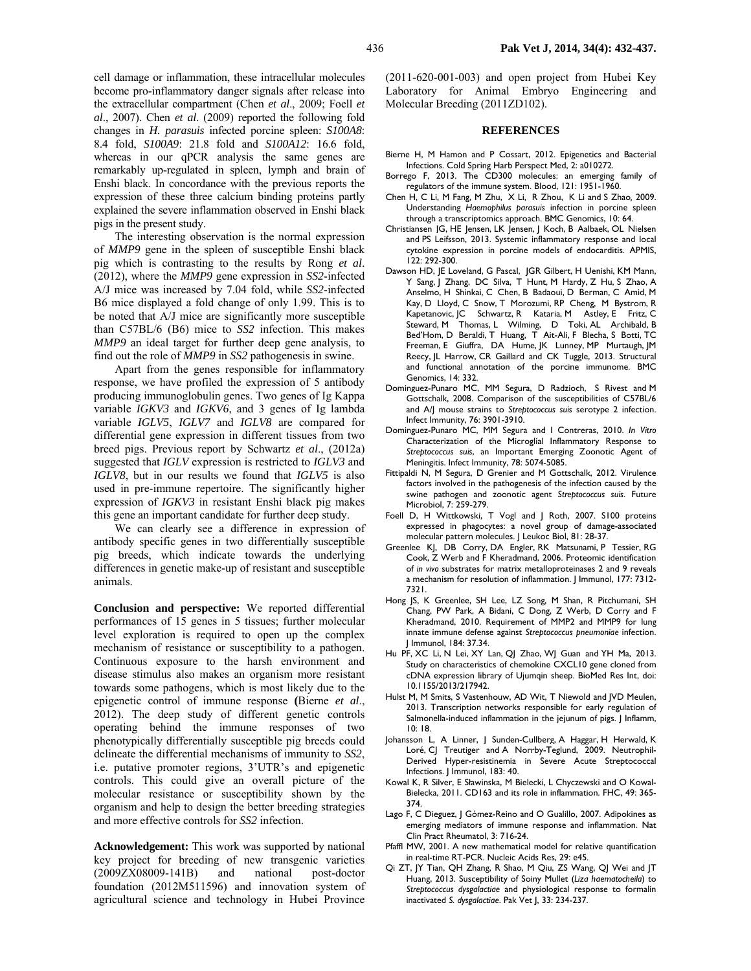cell damage or inflammation, these intracellular molecules become pro-inflammatory danger signals after release into the extracellular compartment (Chen *et al*., 2009; Foell *et al*., 2007). Chen *et al*. (2009) reported the following fold changes in *H. parasuis* infected porcine spleen: *S100A8*: 8.4 fold, *S100A9*: 21.8 fold and *S100A12*: 16.6 fold, whereas in our qPCR analysis the same genes are remarkably up-regulated in spleen, lymph and brain of Enshi black. In concordance with the previous reports the expression of these three calcium binding proteins partly explained the severe inflammation observed in Enshi black pigs in the present study.

The interesting observation is the normal expression of *MMP9* gene in the spleen of susceptible Enshi black pig which is contrasting to the results by Rong *et al*. (2012), where the *MMP9* gene expression in *SS2*-infected A/J mice was increased by 7.04 fold, while *SS2*-infected B6 mice displayed a fold change of only 1.99. This is to be noted that A/J mice are significantly more susceptible than C57BL/6 (B6) mice to *SS2* infection. This makes *MMP9* an ideal target for further deep gene analysis, to find out the role of *MMP9* in *SS2* pathogenesis in swine.

Apart from the genes responsible for inflammatory response, we have profiled the expression of 5 antibody producing immunoglobulin genes. Two genes of Ig Kappa variable *IGKV3* and *IGKV6*, and 3 genes of Ig lambda variable *IGLV5*, *IGLV7* and *IGLV8* are compared for differential gene expression in different tissues from two breed pigs. Previous report by Schwartz *et al*., (2012a) suggested that *IGLV* expression is restricted to *IGLV3* and *IGLV8*, but in our results we found that *IGLV5* is also used in pre-immune repertoire. The significantly higher expression of *IGKV3* in resistant Enshi black pig makes this gene an important candidate for further deep study.

We can clearly see a difference in expression of antibody specific genes in two differentially susceptible pig breeds, which indicate towards the underlying differences in genetic make-up of resistant and susceptible animals.

**Conclusion and perspective:** We reported differential performances of 15 genes in 5 tissues; further molecular level exploration is required to open up the complex mechanism of resistance or susceptibility to a pathogen. Continuous exposure to the harsh environment and disease stimulus also makes an organism more resistant towards some pathogens, which is most likely due to the epigenetic control of immune response **(**Bierne *et al*., 2012). The deep study of different genetic controls operating behind the immune responses of two phenotypically differentially susceptible pig breeds could delineate the differential mechanisms of immunity to *SS2*, i.e. putative promoter regions, 3'UTR's and epigenetic controls. This could give an overall picture of the molecular resistance or susceptibility shown by the organism and help to design the better breeding strategies and more effective controls for *SS2* infection.

**Acknowledgement:** This work was supported by national key project for breeding of new transgenic varieties (2009ZX08009-141B) and national post-doctor foundation (2012M511596) and innovation system of agricultural science and technology in Hubei Province

(2011-620-001-003) and open project from Hubei Key Laboratory for Animal Embryo Engineering and Molecular Breeding (2011ZD102).

#### **REFERENCES**

- Bierne H, M Hamon and P Cossart, 2012. Epigenetics and Bacterial Infections. Cold Spring Harb Perspect Med, 2: a010272.
- Borrego F, 2013. The CD300 molecules: an emerging family of regulators of the immune system. Blood, 121: 1951-1960.
- Chen H, C Li, M Fang, M Zhu, X Li, R Zhou, K Li and S Zhao*,* 2009. Understanding *Haemophilus parasuis* infection in porcine spleen through a transcriptomics approach. BMC Genomics, 10: 64.
- Christiansen JG, HE Jensen, LK Jensen, J Koch, B Aalbaek, OL Nielsen and PS Leifsson, 2013. Systemic inflammatory response and local cytokine expression in porcine models of endocarditis. APMIS,  $122: 292-300.$
- Dawson HD, JE Loveland, G Pascal, JGR Gilbert, H Uenishi, KM Mann, Y Sang, J Zhang, DC Silva, T Hunt, M Hardy, Z Hu, S Zhao, A Anselmo, H Shinkai, C Chen, B Badaoui, D Berman, C Amid, M Kay, D Lloyd, C Snow, T Morozumi, RP Cheng, M Bystrom, R Kapetanovic, JC Schwartz, R Kataria, M Astley, E Fritz, C Steward, M Thomas, L Wilming, D Toki, AL Archibald, B Bed'Hom, D Beraldi, T Huang, T Ait-Ali, F Blecha, S Botti, TC Freeman, E Giuffra, DA Hume, JK Lunney, MP Murtaugh, JM Reecy, JL Harrow, CR Gaillard and CK Tuggle, 2013. Structural and functional annotation of the porcine immunome. BMC Genomics, 14: 332.
- Dominguez-Punaro MC, MM Segura, D Radzioch, S Rivest and M Gottschalk, 2008. Comparison of the susceptibilities of C57BL/6 and A/J mouse strains to *Streptococcus suis* serotype 2 infection. Infect Immunity, 76: 3901-3910.
- Dominguez-Punaro MC, MM Segura and I Contreras, 2010. *In Vitro*  Characterization of the Microglial Inflammatory Response to *Streptococcus suis*, an Important Emerging Zoonotic Agent of Meningitis. Infect Immunity, 78: 5074-5085.
- Fittipaldi N, M Segura, D Grenier and M Gottschalk, 2012. Virulence factors involved in the pathogenesis of the infection caused by the swine pathogen and zoonotic agent *Streptococcus suis*. Future Microbiol, 7: 259-279.
- Foell D, H Wittkowski, T Vogl and J Roth, 2007. S100 proteins expressed in phagocytes: a novel group of damage-associated molecular pattern molecules. J Leukoc Biol, 81: 28-37.
- Greenlee KJ, DB Corry, DA Engler, RK Matsunami, P Tessier, RG Cook, Z Werb and F Kheradmand, 2006. Proteomic identification of *in vivo* substrates for matrix metalloproteinases 2 and 9 reveals a mechanism for resolution of inflammation. J Immunol, 177: 7312- 7321.
- Hong JS, K Greenlee, SH Lee, LZ Song, M Shan, R Pitchumani, SH Chang, PW Park, A Bidani, C Dong, Z Werb, D Corry and F Kheradmand, 2010. Requirement of MMP2 and MMP9 for lung innate immune defense against *Streptococcus pneumoniae* infection. J Immunol, 184: 37.34.
- Hu PF, XC Li, N Lei, XY Lan, QJ Zhao, WJ Guan and YH Ma, 2013. Study on characteristics of chemokine CXCL10 gene cloned from cDNA expression library of Ujumqin sheep. BioMed Res Int, doi: 10.1155/2013/217942.
- Hulst M, M Smits, S Vastenhouw, AD Wit, T Niewold and JVD Meulen, 2013. Transcription networks responsible for early regulation of Salmonella-induced inflammation in the jejunum of pigs. I Inflamm, 10: 18.
- Johansson L, A Linner, J Sunden-Cullberg, A Haggar, H Herwald, K Loré, CJ Treutiger and A Norrby-Teglund, 2009. Neutrophil-Derived Hyper-resistinemia in Severe Acute Streptococcal Infections. J Immunol, 183: 40.
- Kowal K, R Silver, E Sławinska, M Bielecki, L Chyczewski and O Kowal-Bielecka, 2011. CD163 and its role in inflammation. FHC, 49: 365- 374.
- Lago F, C Dieguez, J Gómez-Reino and O Gualillo, 2007. Adipokines as emerging mediators of immune response and inflammation. Nat Clin Pract Rheumatol, 3: 716-24.
- Pfaffl MW, 2001. A new mathematical model for relative quantification in real-time RT-PCR. Nucleic Acids Res, 29: e45.
- Qi ZT, JY Tian, QH Zhang, R Shao, M Qiu, ZS Wang, QJ Wei and JT Huang, 2013. Susceptibility of Soiny Mullet (*Liza haematocheila*) to *Streptococcus dysgalactiae* and physiological response to formalin inactivated *S. dysgalactiae*. Pak Vet J, 33: 234-237.